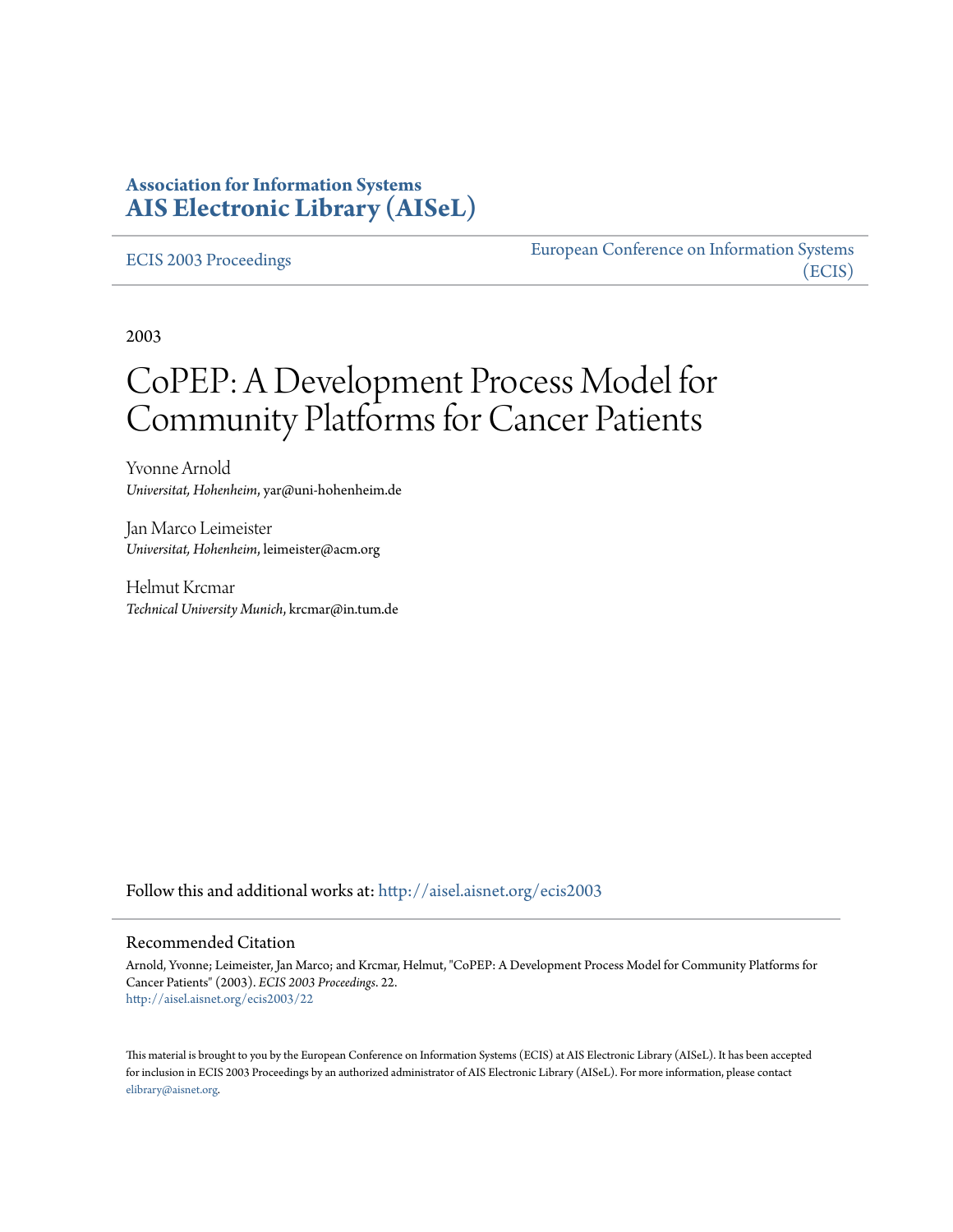#### **Association for Information Systems [AIS Electronic Library \(AISeL\)](http://aisel.aisnet.org?utm_source=aisel.aisnet.org%2Fecis2003%2F22&utm_medium=PDF&utm_campaign=PDFCoverPages)**

#### [ECIS 2003 Proceedings](http://aisel.aisnet.org/ecis2003?utm_source=aisel.aisnet.org%2Fecis2003%2F22&utm_medium=PDF&utm_campaign=PDFCoverPages)

[European Conference on Information Systems](http://aisel.aisnet.org/ecis?utm_source=aisel.aisnet.org%2Fecis2003%2F22&utm_medium=PDF&utm_campaign=PDFCoverPages) [\(ECIS\)](http://aisel.aisnet.org/ecis?utm_source=aisel.aisnet.org%2Fecis2003%2F22&utm_medium=PDF&utm_campaign=PDFCoverPages)

2003

# CoPEP: A Development Process Model for Community Platforms for Cancer Patients

Yvonne Arnold *Universitat, Hohenheim*, yar@uni-hohenheim.de

Jan Marco Leimeister *Universitat, Hohenheim*, leimeister@acm.org

Helmut Krcmar *Technical University Munich*, krcmar@in.tum.de

Follow this and additional works at: [http://aisel.aisnet.org/ecis2003](http://aisel.aisnet.org/ecis2003?utm_source=aisel.aisnet.org%2Fecis2003%2F22&utm_medium=PDF&utm_campaign=PDFCoverPages)

#### Recommended Citation

Arnold, Yvonne; Leimeister, Jan Marco; and Krcmar, Helmut, "CoPEP: A Development Process Model for Community Platforms for Cancer Patients" (2003). *ECIS 2003 Proceedings*. 22. [http://aisel.aisnet.org/ecis2003/22](http://aisel.aisnet.org/ecis2003/22?utm_source=aisel.aisnet.org%2Fecis2003%2F22&utm_medium=PDF&utm_campaign=PDFCoverPages)

This material is brought to you by the European Conference on Information Systems (ECIS) at AIS Electronic Library (AISeL). It has been accepted for inclusion in ECIS 2003 Proceedings by an authorized administrator of AIS Electronic Library (AISeL). For more information, please contact [elibrary@aisnet.org.](mailto:elibrary@aisnet.org%3E)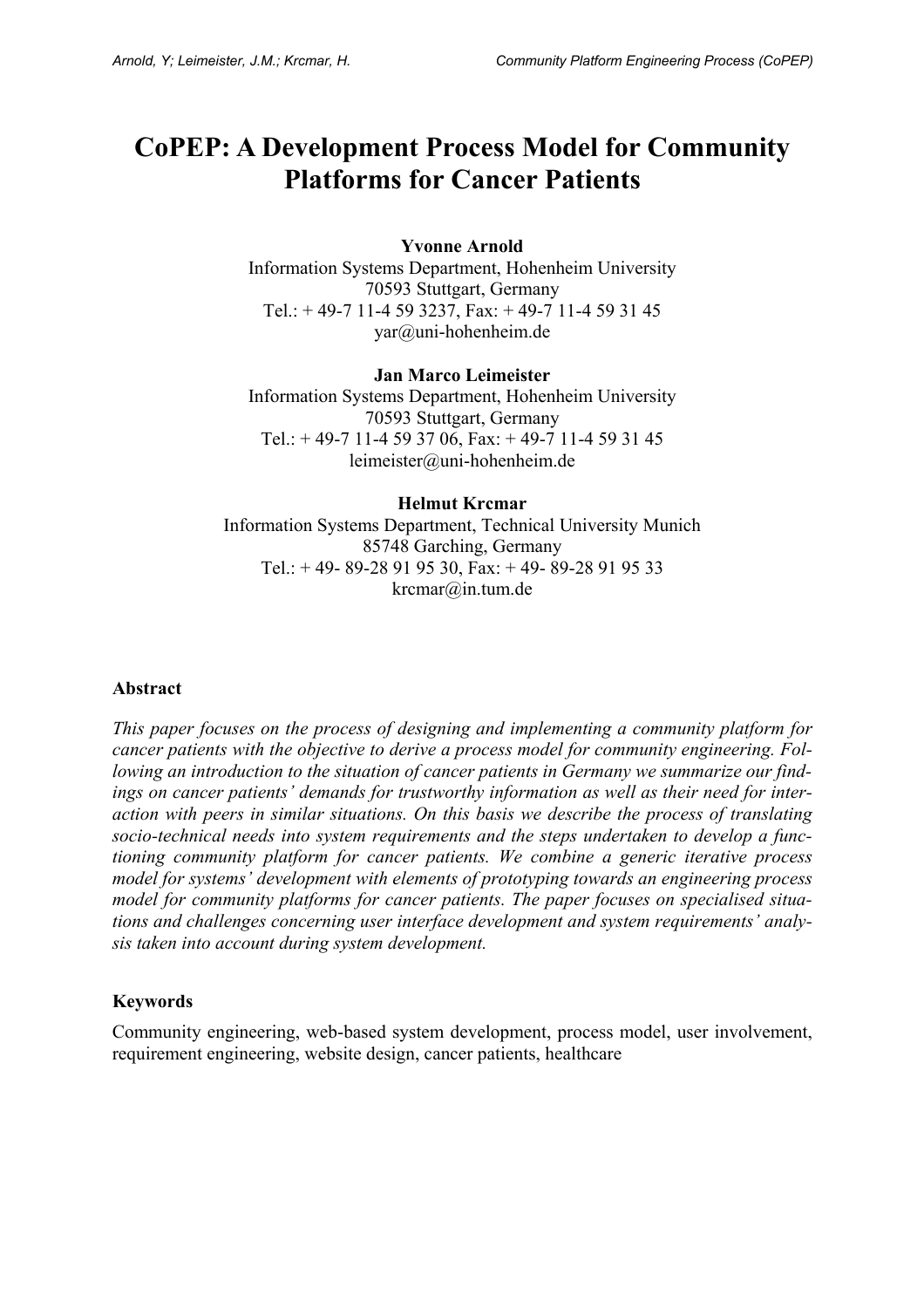# **CoPEP: A Development Process Model for Community Platforms for Cancer Patients**

#### **Yvonne Arnold**

Information Systems Department, Hohenheim University 70593 Stuttgart, Germany Tel.: + 49-7 11-4 59 3237, Fax: + 49-7 11-4 59 31 45 yar@uni-hohenheim.de

#### **Jan Marco Leimeister**

Information Systems Department, Hohenheim University 70593 Stuttgart, Germany Tel.:  $+ 49-7 11-4 59 37 06$ , Fax:  $+ 49-7 11-4 59 31 45$ leimeister@uni-hohenheim.de

#### **Helmut Krcmar**  Information Systems Department, Technical University Munich 85748 Garching, Germany Tel.: + 49- 89-28 91 95 30, Fax: + 49- 89-28 91 95 33 krcmar@in.tum.de

#### **Abstract**

*This paper focuses on the process of designing and implementing a community platform for cancer patients with the objective to derive a process model for community engineering. Following an introduction to the situation of cancer patients in Germany we summarize our findings on cancer patients' demands for trustworthy information as well as their need for interaction with peers in similar situations. On this basis we describe the process of translating socio-technical needs into system requirements and the steps undertaken to develop a functioning community platform for cancer patients. We combine a generic iterative process model for systems' development with elements of prototyping towards an engineering process model for community platforms for cancer patients. The paper focuses on specialised situations and challenges concerning user interface development and system requirements' analysis taken into account during system development.* 

#### **Keywords**

Community engineering, web-based system development, process model, user involvement, requirement engineering, website design, cancer patients, healthcare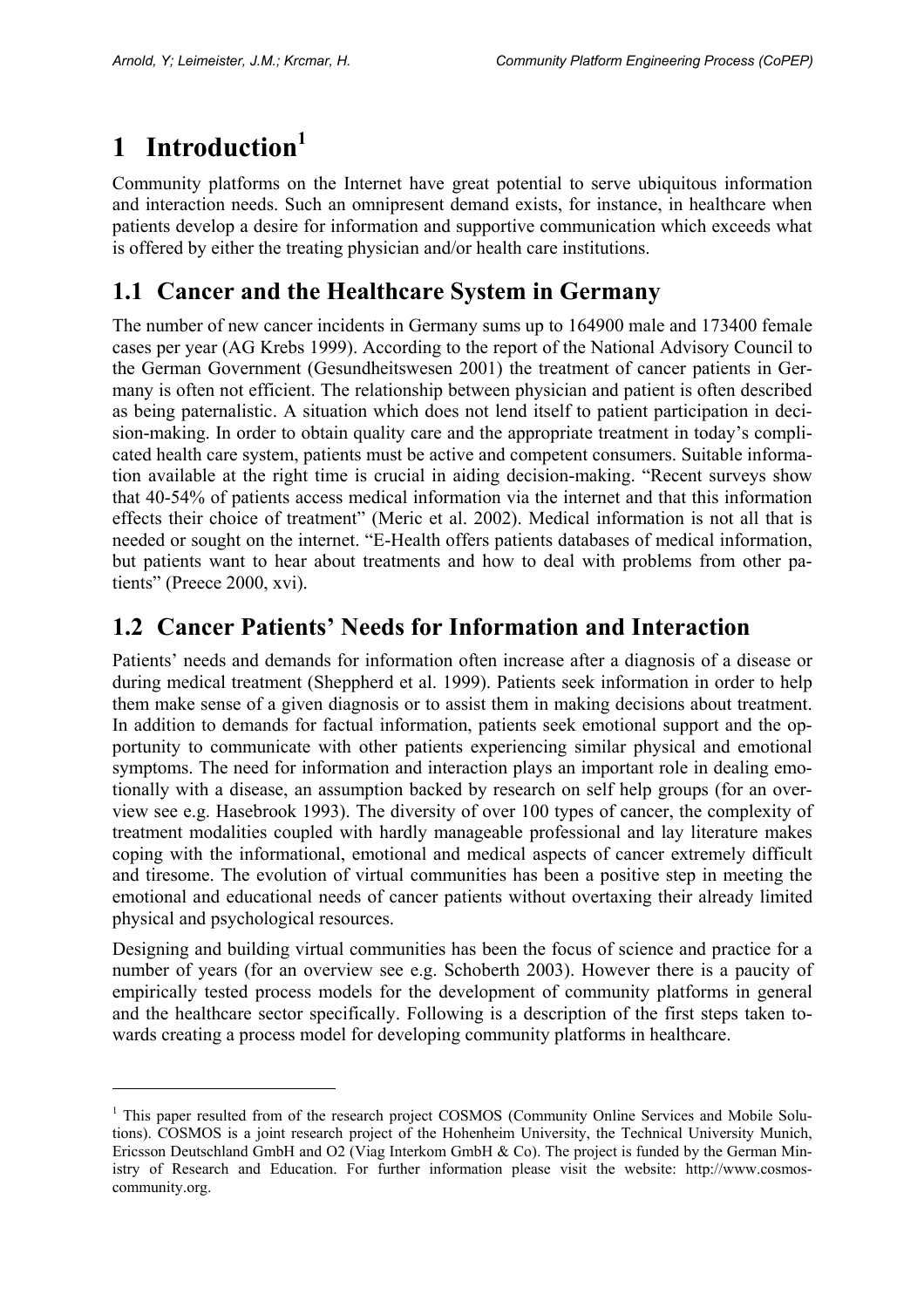# **1 Introduction<sup>1</sup>**

 $\overline{a}$ 

Community platforms on the Internet have great potential to serve ubiquitous information and interaction needs. Such an omnipresent demand exists, for instance, in healthcare when patients develop a desire for information and supportive communication which exceeds what is offered by either the treating physician and/or health care institutions.

### **1.1 Cancer and the Healthcare System in Germany**

The number of new cancer incidents in Germany sums up to 164900 male and 173400 female cases per year (AG Krebs 1999). According to the report of the National Advisory Council to the German Government (Gesundheitswesen 2001) the treatment of cancer patients in Germany is often not efficient. The relationship between physician and patient is often described as being paternalistic. A situation which does not lend itself to patient participation in decision-making. In order to obtain quality care and the appropriate treatment in today's complicated health care system, patients must be active and competent consumers. Suitable information available at the right time is crucial in aiding decision-making. "Recent surveys show that 40-54% of patients access medical information via the internet and that this information effects their choice of treatment" (Meric et al. 2002). Medical information is not all that is needed or sought on the internet. "E-Health offers patients databases of medical information, but patients want to hear about treatments and how to deal with problems from other patients" (Preece 2000, xvi).

### **1.2 Cancer Patients' Needs for Information and Interaction**

Patients' needs and demands for information often increase after a diagnosis of a disease or during medical treatment (Sheppherd et al. 1999). Patients seek information in order to help them make sense of a given diagnosis or to assist them in making decisions about treatment. In addition to demands for factual information, patients seek emotional support and the opportunity to communicate with other patients experiencing similar physical and emotional symptoms. The need for information and interaction plays an important role in dealing emotionally with a disease, an assumption backed by research on self help groups (for an overview see e.g. Hasebrook 1993). The diversity of over 100 types of cancer, the complexity of treatment modalities coupled with hardly manageable professional and lay literature makes coping with the informational, emotional and medical aspects of cancer extremely difficult and tiresome. The evolution of virtual communities has been a positive step in meeting the emotional and educational needs of cancer patients without overtaxing their already limited physical and psychological resources.

Designing and building virtual communities has been the focus of science and practice for a number of years (for an overview see e.g. Schoberth 2003). However there is a paucity of empirically tested process models for the development of community platforms in general and the healthcare sector specifically. Following is a description of the first steps taken towards creating a process model for developing community platforms in healthcare.

<sup>&</sup>lt;sup>1</sup> This paper resulted from of the research project COSMOS (Community Online Services and Mobile Solutions). COSMOS is a joint research project of the Hohenheim University, the Technical University Munich, Ericsson Deutschland GmbH and O2 (Viag Interkom GmbH & Co). The project is funded by the German Ministry of Research and Education. For further information please visit the website: http://www.cosmoscommunity.org.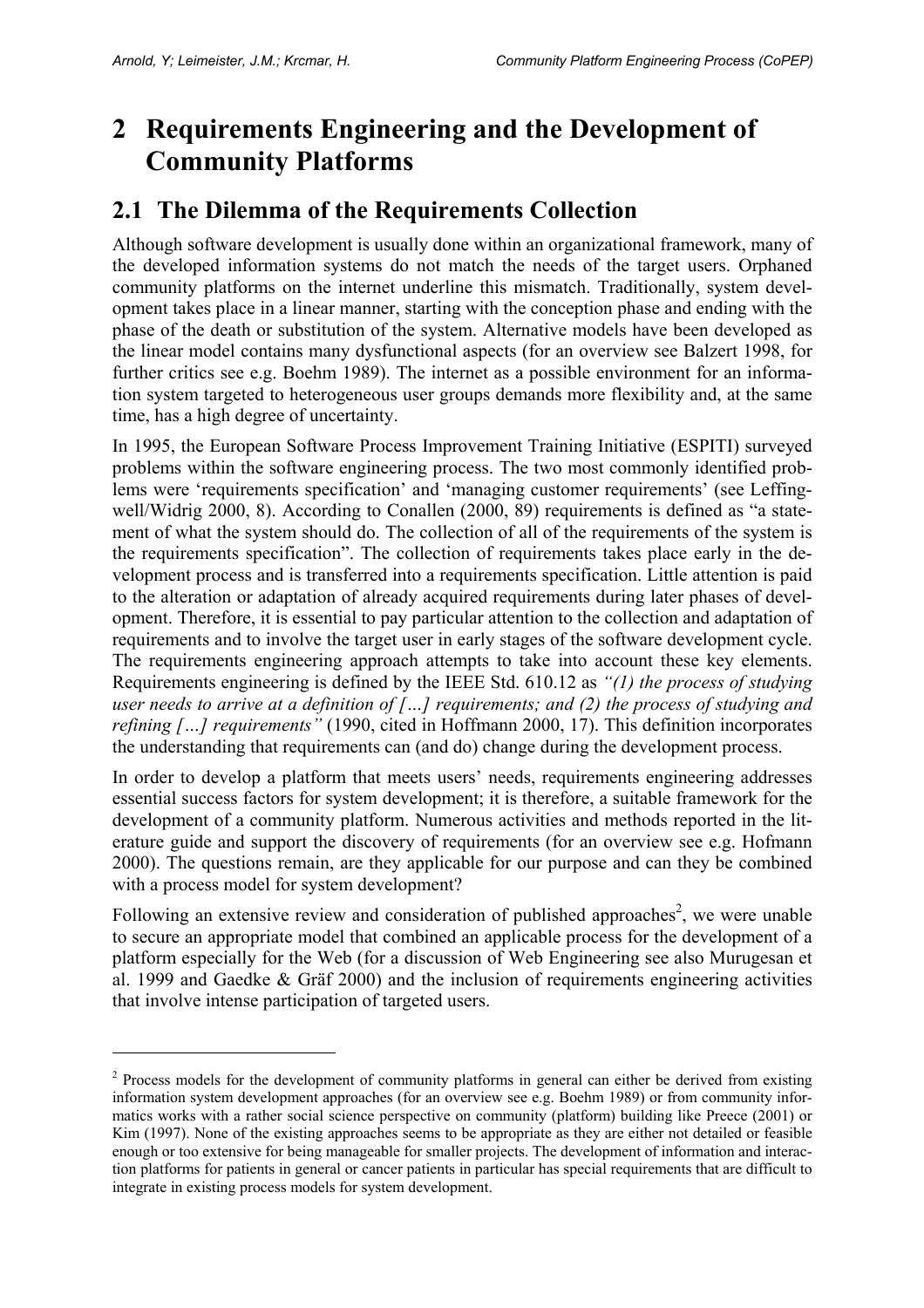$\overline{a}$ 

# **2 Requirements Engineering and the Development of Community Platforms**

#### **2.1 The Dilemma of the Requirements Collection**

Although software development is usually done within an organizational framework, many of the developed information systems do not match the needs of the target users. Orphaned community platforms on the internet underline this mismatch. Traditionally, system development takes place in a linear manner, starting with the conception phase and ending with the phase of the death or substitution of the system. Alternative models have been developed as the linear model contains many dysfunctional aspects (for an overview see Balzert 1998, for further critics see e.g. Boehm 1989). The internet as a possible environment for an information system targeted to heterogeneous user groups demands more flexibility and, at the same time, has a high degree of uncertainty.

In 1995, the European Software Process Improvement Training Initiative (ESPITI) surveyed problems within the software engineering process. The two most commonly identified problems were 'requirements specification' and 'managing customer requirements' (see Leffingwell/Widrig 2000, 8). According to Conallen (2000, 89) requirements is defined as "a statement of what the system should do. The collection of all of the requirements of the system is the requirements specification". The collection of requirements takes place early in the development process and is transferred into a requirements specification. Little attention is paid to the alteration or adaptation of already acquired requirements during later phases of development. Therefore, it is essential to pay particular attention to the collection and adaptation of requirements and to involve the target user in early stages of the software development cycle. The requirements engineering approach attempts to take into account these key elements. Requirements engineering is defined by the IEEE Std. 610.12 as *"(1) the process of studying user needs to arrive at a definition of […] requirements; and (2) the process of studying and refining […] requirements"* (1990, cited in Hoffmann 2000, 17). This definition incorporates the understanding that requirements can (and do) change during the development process.

In order to develop a platform that meets users' needs, requirements engineering addresses essential success factors for system development; it is therefore, a suitable framework for the development of a community platform. Numerous activities and methods reported in the literature guide and support the discovery of requirements (for an overview see e.g. Hofmann 2000). The questions remain, are they applicable for our purpose and can they be combined with a process model for system development?

Following an extensive review and consideration of published approaches<sup>2</sup>, we were unable to secure an appropriate model that combined an applicable process for the development of a platform especially for the Web (for a discussion of Web Engineering see also Murugesan et al. 1999 and Gaedke & Gräf 2000) and the inclusion of requirements engineering activities that involve intense participation of targeted users.

 $2$  Process models for the development of community platforms in general can either be derived from existing information system development approaches (for an overview see e.g. Boehm 1989) or from community informatics works with a rather social science perspective on community (platform) building like Preece (2001) or Kim (1997). None of the existing approaches seems to be appropriate as they are either not detailed or feasible enough or too extensive for being manageable for smaller projects. The development of information and interaction platforms for patients in general or cancer patients in particular has special requirements that are difficult to integrate in existing process models for system development.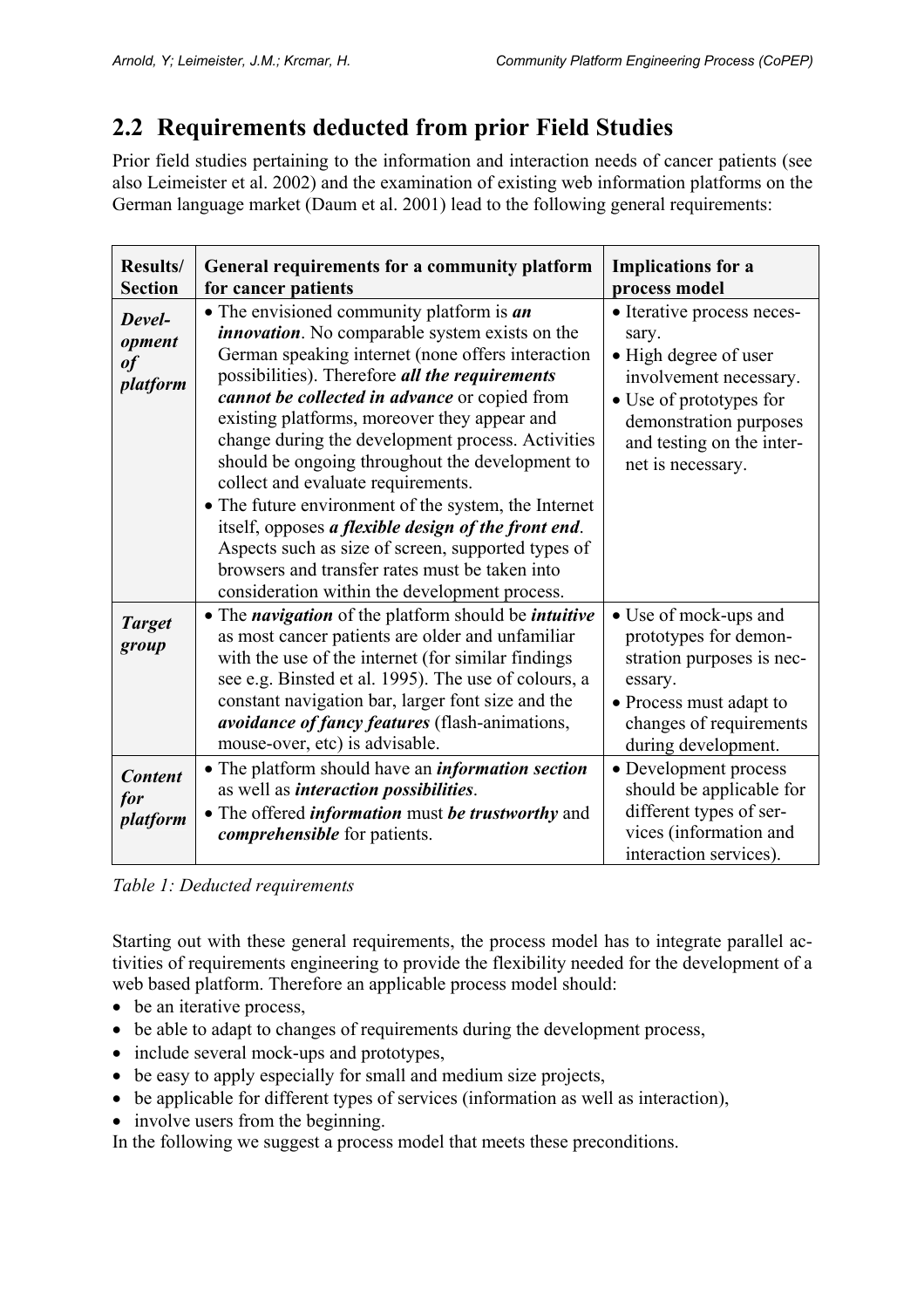# **2.2 Requirements deducted from prior Field Studies**

Prior field studies pertaining to the information and interaction needs of cancer patients (see also Leimeister et al. 2002) and the examination of existing web information platforms on the German language market (Daum et al. 2001) lead to the following general requirements:

| Results/<br><b>Section</b>         | General requirements for a community platform<br>for cancer patients                                                                                                                                                                                                                                                                                                                                                                                                                                                                                                                                                                                                                                                                             | <b>Implications for a</b><br>process model                                                                                                                                                    |
|------------------------------------|--------------------------------------------------------------------------------------------------------------------------------------------------------------------------------------------------------------------------------------------------------------------------------------------------------------------------------------------------------------------------------------------------------------------------------------------------------------------------------------------------------------------------------------------------------------------------------------------------------------------------------------------------------------------------------------------------------------------------------------------------|-----------------------------------------------------------------------------------------------------------------------------------------------------------------------------------------------|
| Devel-<br>opment<br>of<br>platform | $\bullet$ The envisioned community platform is <i>an</i><br><i>innovation</i> . No comparable system exists on the<br>German speaking internet (none offers interaction<br>possibilities). Therefore all the requirements<br>cannot be collected in advance or copied from<br>existing platforms, moreover they appear and<br>change during the development process. Activities<br>should be ongoing throughout the development to<br>collect and evaluate requirements.<br>• The future environment of the system, the Internet<br>itself, opposes a flexible design of the front end.<br>Aspects such as size of screen, supported types of<br>browsers and transfer rates must be taken into<br>consideration within the development process. | • Iterative process neces-<br>sary.<br>• High degree of user<br>involvement necessary.<br>• Use of prototypes for<br>demonstration purposes<br>and testing on the inter-<br>net is necessary. |
| <b>Target</b><br>group             | • The <i>navigation</i> of the platform should be <i>intuitive</i><br>as most cancer patients are older and unfamiliar<br>with the use of the internet (for similar findings<br>see e.g. Binsted et al. 1995). The use of colours, a<br>constant navigation bar, larger font size and the<br>avoidance of fancy features (flash-animations,<br>mouse-over, etc) is advisable.                                                                                                                                                                                                                                                                                                                                                                    | • Use of mock-ups and<br>prototypes for demon-<br>stration purposes is nec-<br>essary.<br>• Process must adapt to<br>changes of requirements<br>during development.                           |
| <b>Content</b><br>for<br>platform  | • The platform should have an <i>information section</i><br>as well as <i>interaction possibilities</i> .<br>• The offered <i>information</i> must <i>be trustworthy</i> and<br><i>comprehensible</i> for patients.                                                                                                                                                                                                                                                                                                                                                                                                                                                                                                                              | • Development process<br>should be applicable for<br>different types of ser-<br>vices (information and<br>interaction services).                                                              |

*Table 1: Deducted requirements* 

Starting out with these general requirements, the process model has to integrate parallel activities of requirements engineering to provide the flexibility needed for the development of a web based platform. Therefore an applicable process model should:

- be an iterative process,
- be able to adapt to changes of requirements during the development process,
- include several mock-ups and prototypes,
- be easy to apply especially for small and medium size projects,
- be applicable for different types of services (information as well as interaction),
- involve users from the beginning.

In the following we suggest a process model that meets these preconditions.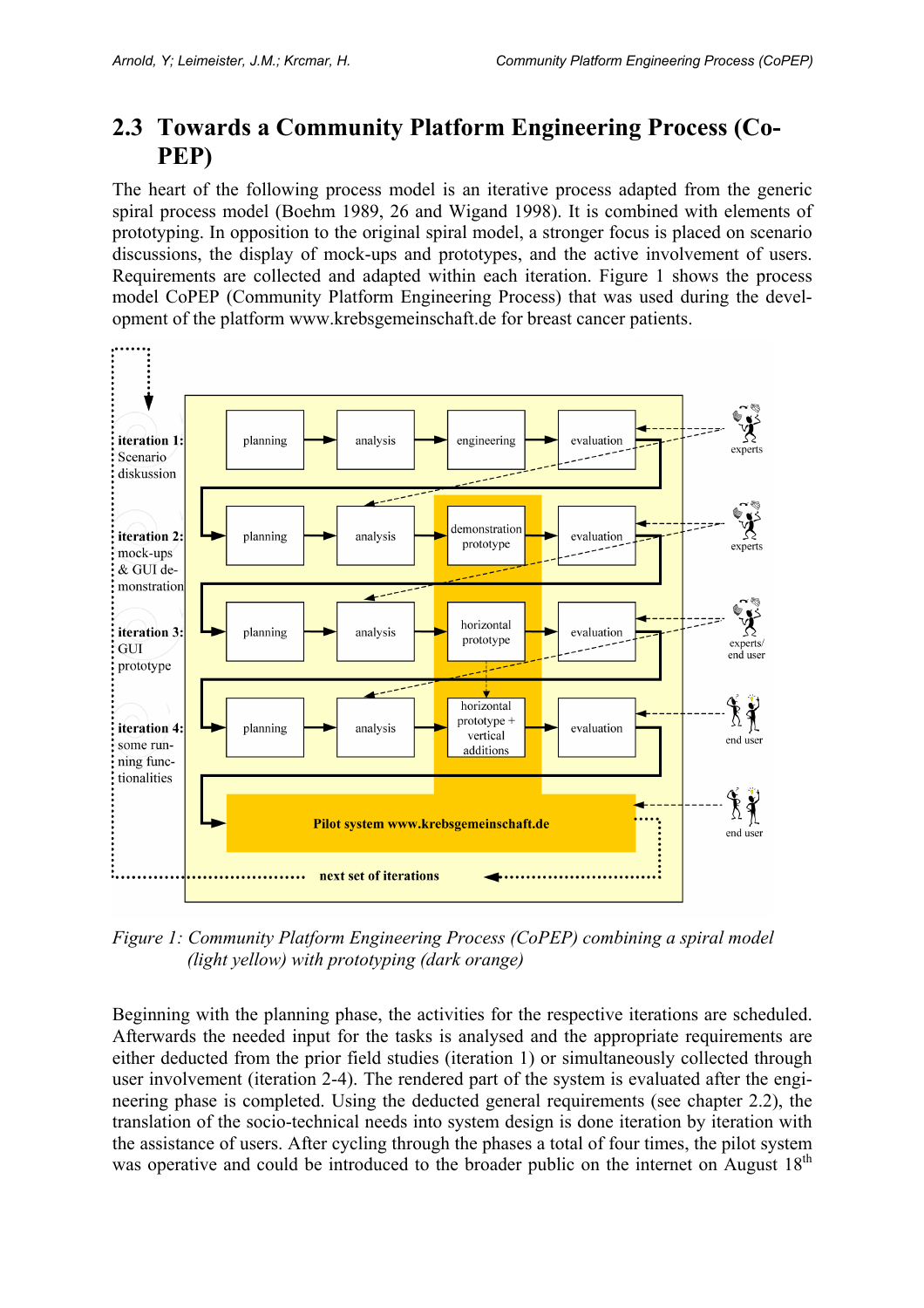### **2.3 Towards a Community Platform Engineering Process (Co-PEP)**

The heart of the following process model is an iterative process adapted from the generic spiral process model (Boehm 1989, 26 and Wigand 1998). It is combined with elements of prototyping. In opposition to the original spiral model, a stronger focus is placed on scenario discussions, the display of mock-ups and prototypes, and the active involvement of users. Requirements are collected and adapted within each iteration. Figure 1 shows the process model CoPEP (Community Platform Engineering Process) that was used during the development of the platform www.krebsgemeinschaft.de for breast cancer patients.



*Figure 1: Community Platform Engineering Process (CoPEP) combining a spiral model (light yellow) with prototyping (dark orange)* 

Beginning with the planning phase, the activities for the respective iterations are scheduled. Afterwards the needed input for the tasks is analysed and the appropriate requirements are either deducted from the prior field studies (iteration 1) or simultaneously collected through user involvement (iteration 2-4). The rendered part of the system is evaluated after the engineering phase is completed. Using the deducted general requirements (see chapter 2.2), the translation of the socio-technical needs into system design is done iteration by iteration with the assistance of users. After cycling through the phases a total of four times, the pilot system was operative and could be introduced to the broader public on the internet on August  $18<sup>th</sup>$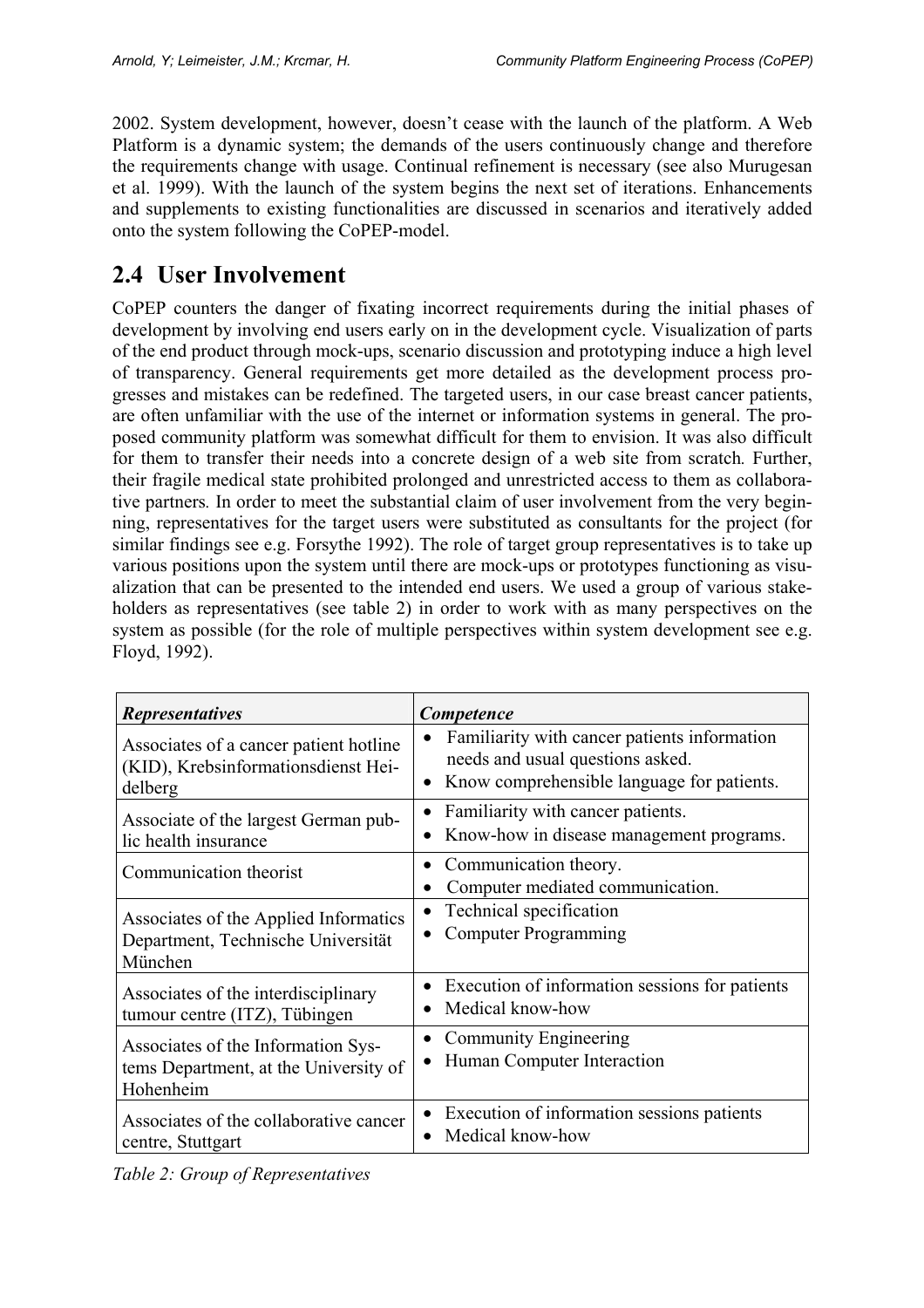2002. System development, however, doesn't cease with the launch of the platform. A Web Platform is a dynamic system; the demands of the users continuously change and therefore the requirements change with usage. Continual refinement is necessary (see also Murugesan et al. 1999). With the launch of the system begins the next set of iterations. Enhancements and supplements to existing functionalities are discussed in scenarios and iteratively added onto the system following the CoPEP-model.

### **2.4 User Involvement**

CoPEP counters the danger of fixating incorrect requirements during the initial phases of development by involving end users early on in the development cycle. Visualization of parts of the end product through mock-ups, scenario discussion and prototyping induce a high level of transparency. General requirements get more detailed as the development process progresses and mistakes can be redefined. The targeted users, in our case breast cancer patients, are often unfamiliar with the use of the internet or information systems in general. The proposed community platform was somewhat difficult for them to envision. It was also difficult for them to transfer their needs into a concrete design of a web site from scratch*.* Further, their fragile medical state prohibited prolonged and unrestricted access to them as collaborative partners*.* In order to meet the substantial claim of user involvement from the very beginning, representatives for the target users were substituted as consultants for the project (for similar findings see e.g. Forsythe 1992). The role of target group representatives is to take up various positions upon the system until there are mock-ups or prototypes functioning as visualization that can be presented to the intended end users. We used a group of various stakeholders as representatives (see table 2) in order to work with as many perspectives on the system as possible (for the role of multiple perspectives within system development see e.g. Floyd, 1992).

| <b>Representatives</b>                                                                   | <b>Competence</b>                                                                                                                                        |
|------------------------------------------------------------------------------------------|----------------------------------------------------------------------------------------------------------------------------------------------------------|
| Associates of a cancer patient hotline<br>(KID), Krebsinformationsdienst Hei-<br>delberg | Familiarity with cancer patients information<br>$\bullet$<br>needs and usual questions asked.<br>Know comprehensible language for patients.<br>$\bullet$ |
| Associate of the largest German pub-<br>lic health insurance                             | Familiarity with cancer patients.<br>$\bullet$<br>Know-how in disease management programs.                                                               |
| Communication theorist                                                                   | Communication theory.<br>$\bullet$<br>Computer mediated communication.                                                                                   |
| Associates of the Applied Informatics<br>Department, Technische Universität<br>München   | Technical specification<br>$\bullet$<br><b>Computer Programming</b>                                                                                      |
| Associates of the interdisciplinary<br>tumour centre (ITZ), Tübingen                     | Execution of information sessions for patients<br>Medical know-how                                                                                       |
| Associates of the Information Sys-<br>tems Department, at the University of<br>Hohenheim | <b>Community Engineering</b><br>٠<br>Human Computer Interaction                                                                                          |
| Associates of the collaborative cancer<br>centre, Stuttgart                              | Execution of information sessions patients<br>$\bullet$<br>Medical know-how                                                                              |

*Table 2: Group of Representatives*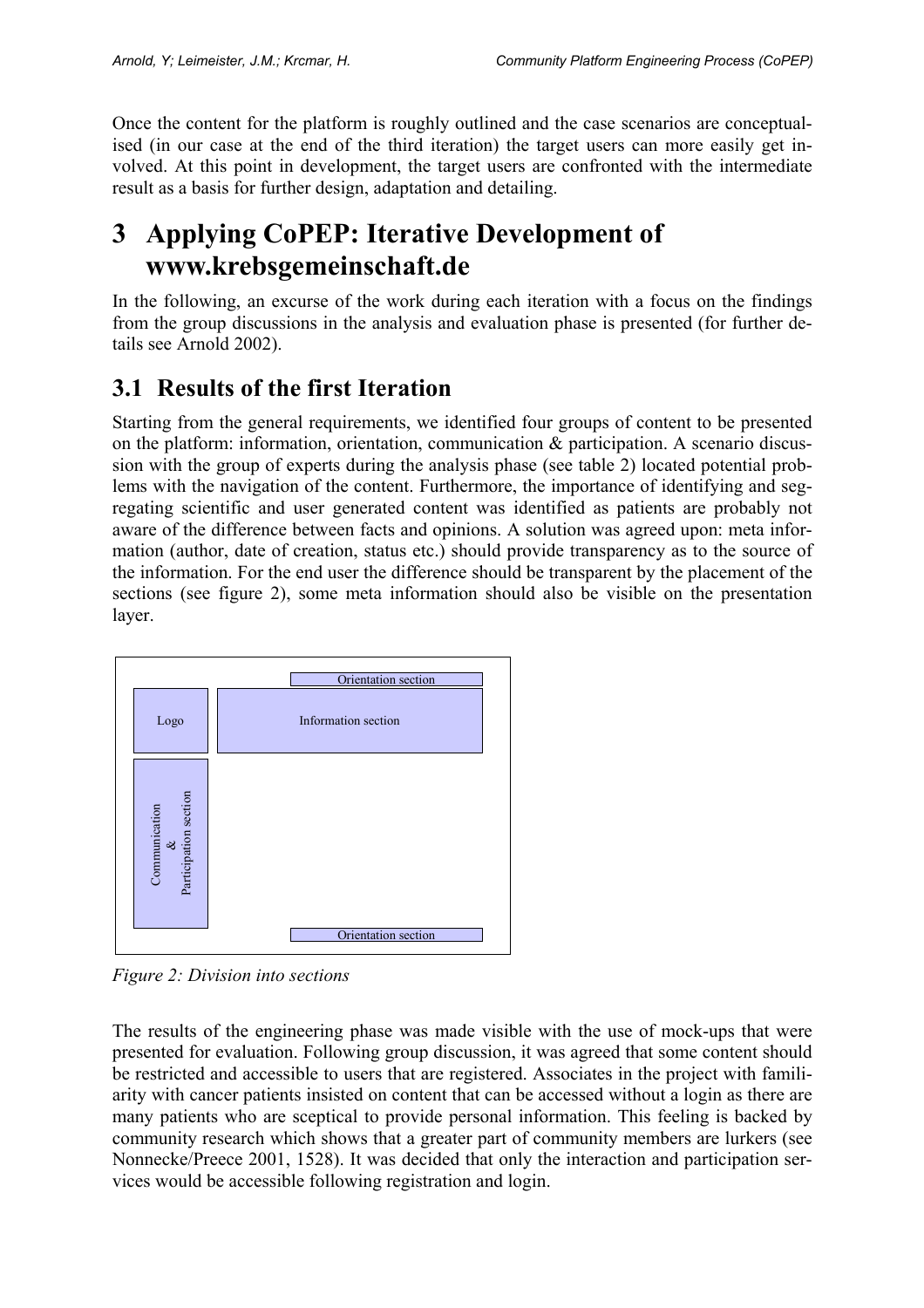Once the content for the platform is roughly outlined and the case scenarios are conceptualised (in our case at the end of the third iteration) the target users can more easily get involved. At this point in development, the target users are confronted with the intermediate result as a basis for further design, adaptation and detailing.

# **3 Applying CoPEP: Iterative Development of www.krebsgemeinschaft.de**

In the following, an excurse of the work during each iteration with a focus on the findings from the group discussions in the analysis and evaluation phase is presented (for further details see Arnold 2002).

### **3.1 Results of the first Iteration**

Starting from the general requirements, we identified four groups of content to be presented on the platform: information, orientation, communication & participation. A scenario discussion with the group of experts during the analysis phase (see table 2) located potential problems with the navigation of the content. Furthermore, the importance of identifying and segregating scientific and user generated content was identified as patients are probably not aware of the difference between facts and opinions. A solution was agreed upon: meta information (author, date of creation, status etc.) should provide transparency as to the source of the information. For the end user the difference should be transparent by the placement of the sections (see figure 2), some meta information should also be visible on the presentation layer.



*Figure 2: Division into sections* 

The results of the engineering phase was made visible with the use of mock-ups that were presented for evaluation. Following group discussion, it was agreed that some content should be restricted and accessible to users that are registered. Associates in the project with familiarity with cancer patients insisted on content that can be accessed without a login as there are many patients who are sceptical to provide personal information. This feeling is backed by community research which shows that a greater part of community members are lurkers (see Nonnecke/Preece 2001, 1528). It was decided that only the interaction and participation services would be accessible following registration and login.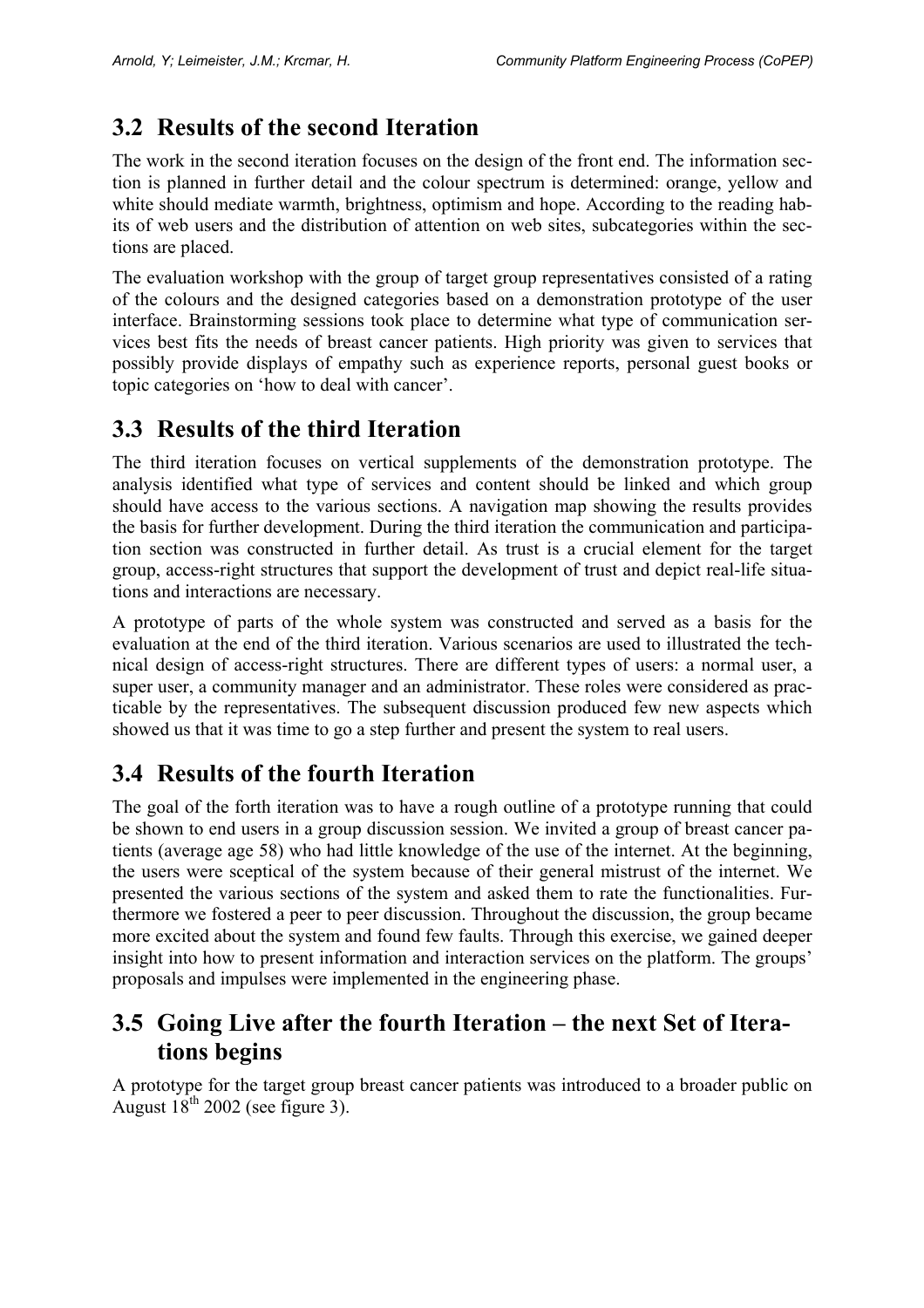### **3.2 Results of the second Iteration**

The work in the second iteration focuses on the design of the front end. The information section is planned in further detail and the colour spectrum is determined: orange, yellow and white should mediate warmth, brightness, optimism and hope. According to the reading habits of web users and the distribution of attention on web sites, subcategories within the sections are placed.

The evaluation workshop with the group of target group representatives consisted of a rating of the colours and the designed categories based on a demonstration prototype of the user interface. Brainstorming sessions took place to determine what type of communication services best fits the needs of breast cancer patients. High priority was given to services that possibly provide displays of empathy such as experience reports, personal guest books or topic categories on 'how to deal with cancer'.

#### **3.3 Results of the third Iteration**

The third iteration focuses on vertical supplements of the demonstration prototype. The analysis identified what type of services and content should be linked and which group should have access to the various sections. A navigation map showing the results provides the basis for further development. During the third iteration the communication and participation section was constructed in further detail. As trust is a crucial element for the target group, access-right structures that support the development of trust and depict real-life situations and interactions are necessary.

A prototype of parts of the whole system was constructed and served as a basis for the evaluation at the end of the third iteration. Various scenarios are used to illustrated the technical design of access-right structures. There are different types of users: a normal user, a super user, a community manager and an administrator. These roles were considered as practicable by the representatives. The subsequent discussion produced few new aspects which showed us that it was time to go a step further and present the system to real users.

### **3.4 Results of the fourth Iteration**

The goal of the forth iteration was to have a rough outline of a prototype running that could be shown to end users in a group discussion session. We invited a group of breast cancer patients (average age 58) who had little knowledge of the use of the internet. At the beginning, the users were sceptical of the system because of their general mistrust of the internet. We presented the various sections of the system and asked them to rate the functionalities. Furthermore we fostered a peer to peer discussion. Throughout the discussion, the group became more excited about the system and found few faults. Through this exercise, we gained deeper insight into how to present information and interaction services on the platform. The groups' proposals and impulses were implemented in the engineering phase.

#### **3.5 Going Live after the fourth Iteration – the next Set of Iterations begins**

A prototype for the target group breast cancer patients was introduced to a broader public on August  $18<sup>th</sup> 2002$  (see figure 3).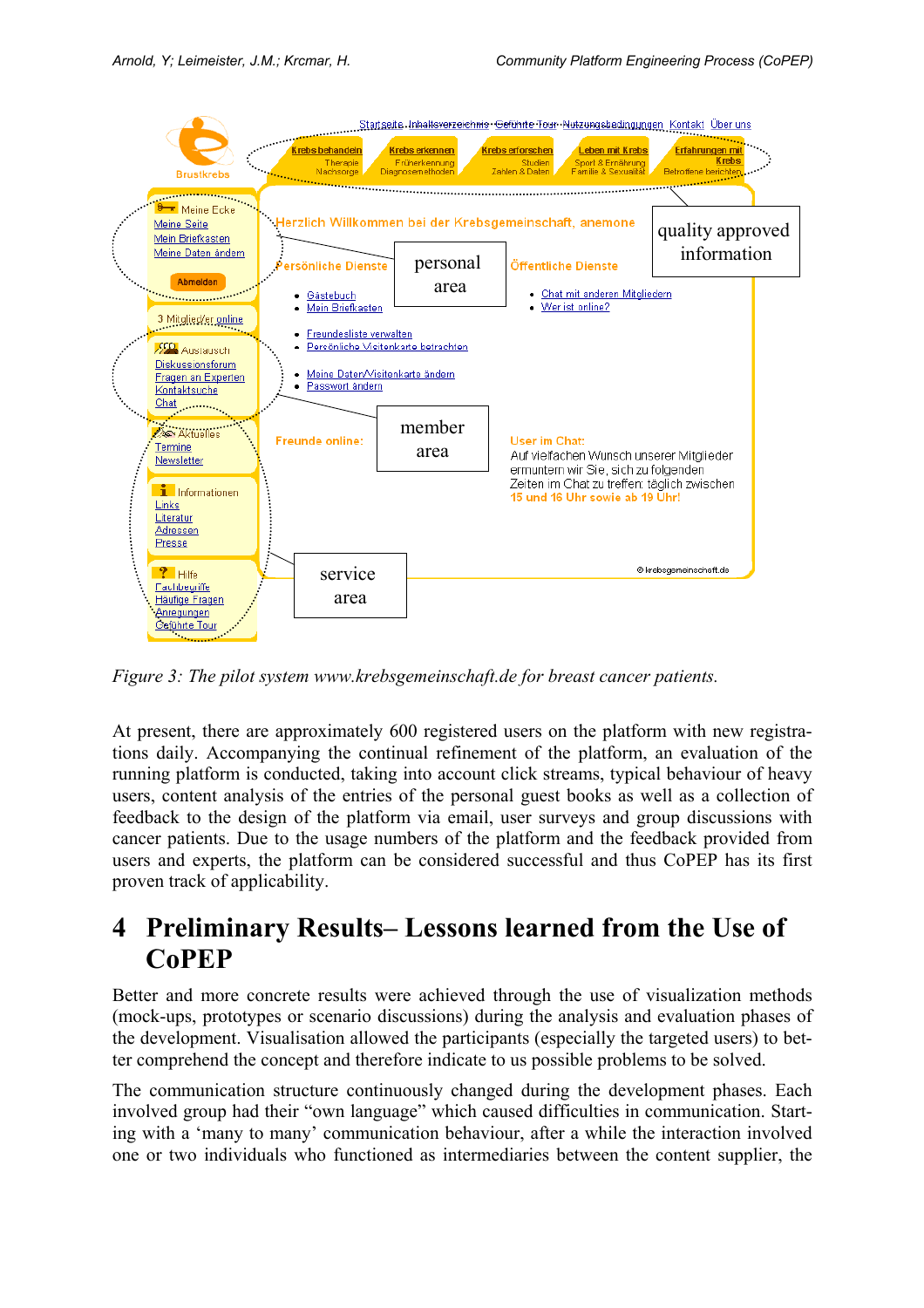

*Figure 3: The pilot system www.krebsgemeinschaft.de for breast cancer patients.* 

At present, there are approximately 600 registered users on the platform with new registrations daily. Accompanying the continual refinement of the platform, an evaluation of the running platform is conducted, taking into account click streams, typical behaviour of heavy users, content analysis of the entries of the personal guest books as well as a collection of feedback to the design of the platform via email, user surveys and group discussions with cancer patients. Due to the usage numbers of the platform and the feedback provided from users and experts, the platform can be considered successful and thus CoPEP has its first proven track of applicability.

## **4 Preliminary Results– Lessons learned from the Use of CoPEP**

Better and more concrete results were achieved through the use of visualization methods (mock-ups, prototypes or scenario discussions) during the analysis and evaluation phases of the development. Visualisation allowed the participants (especially the targeted users) to better comprehend the concept and therefore indicate to us possible problems to be solved.

The communication structure continuously changed during the development phases. Each involved group had their "own language" which caused difficulties in communication. Starting with a 'many to many' communication behaviour, after a while the interaction involved one or two individuals who functioned as intermediaries between the content supplier, the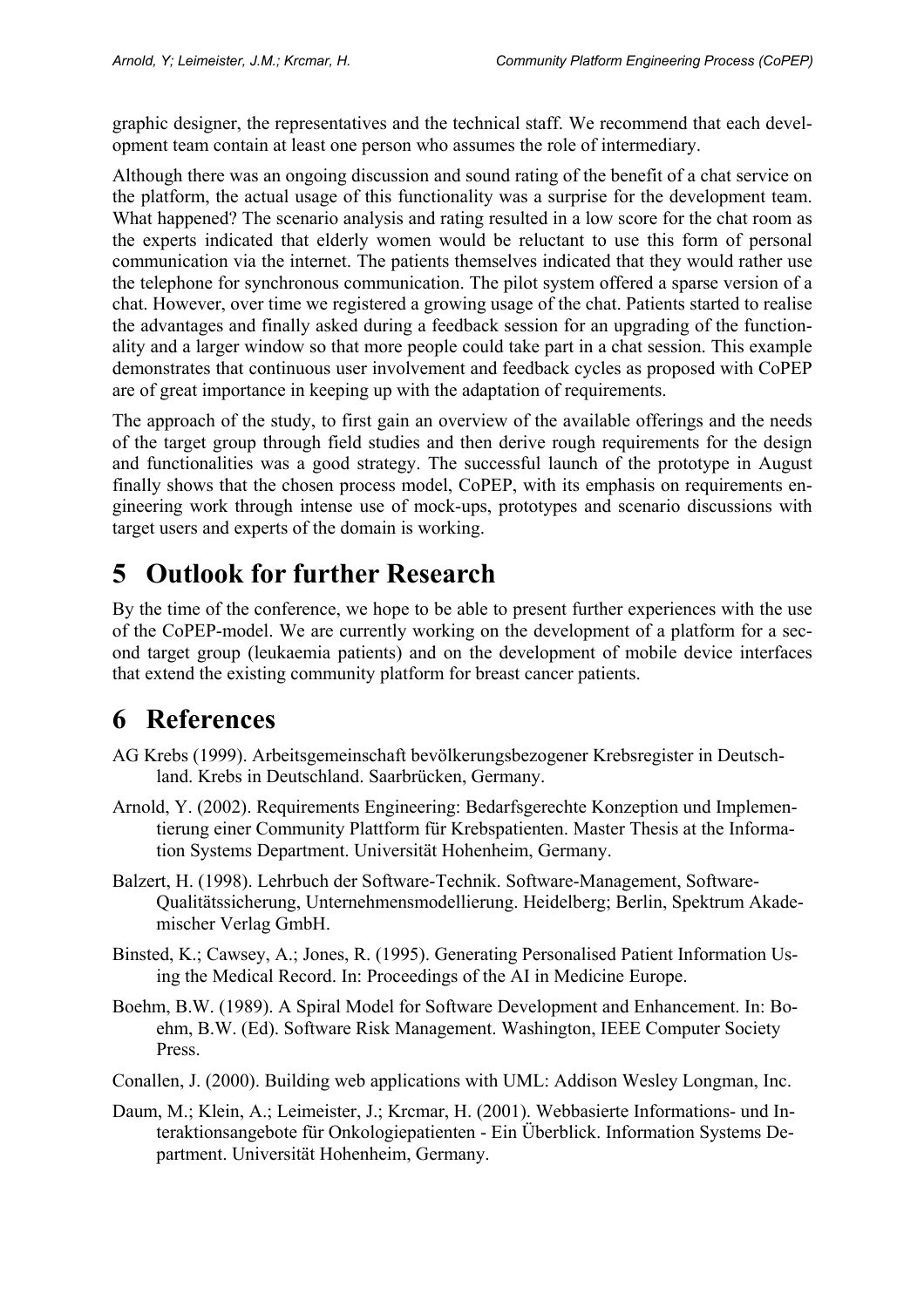graphic designer, the representatives and the technical staff. We recommend that each development team contain at least one person who assumes the role of intermediary.

Although there was an ongoing discussion and sound rating of the benefit of a chat service on the platform, the actual usage of this functionality was a surprise for the development team. What happened? The scenario analysis and rating resulted in a low score for the chat room as the experts indicated that elderly women would be reluctant to use this form of personal communication via the internet. The patients themselves indicated that they would rather use the telephone for synchronous communication. The pilot system offered a sparse version of a chat. However, over time we registered a growing usage of the chat. Patients started to realise the advantages and finally asked during a feedback session for an upgrading of the functionality and a larger window so that more people could take part in a chat session. This example demonstrates that continuous user involvement and feedback cycles as proposed with CoPEP are of great importance in keeping up with the adaptation of requirements.

The approach of the study, to first gain an overview of the available offerings and the needs of the target group through field studies and then derive rough requirements for the design and functionalities was a good strategy. The successful launch of the prototype in August finally shows that the chosen process model, CoPEP, with its emphasis on requirements engineering work through intense use of mock-ups, prototypes and scenario discussions with target users and experts of the domain is working.

# **5 Outlook for further Research**

By the time of the conference, we hope to be able to present further experiences with the use of the CoPEP-model. We are currently working on the development of a platform for a second target group (leukaemia patients) and on the development of mobile device interfaces that extend the existing community platform for breast cancer patients.

# **6 References**

- AG Krebs (1999). Arbeitsgemeinschaft bevölkerungsbezogener Krebsregister in Deutschland. Krebs in Deutschland. Saarbrücken, Germany.
- Arnold, Y. (2002). Requirements Engineering: Bedarfsgerechte Konzeption und Implementierung einer Community Plattform für Krebspatienten. Master Thesis at the Information Systems Department. Universität Hohenheim, Germany.
- Balzert, H. (1998). Lehrbuch der Software-Technik. Software-Management, Software-Qualitätssicherung, Unternehmensmodellierung. Heidelberg; Berlin, Spektrum Akademischer Verlag GmbH.
- Binsted, K.; Cawsey, A.; Jones, R. (1995). Generating Personalised Patient Information Using the Medical Record. In: Proceedings of the AI in Medicine Europe.
- Boehm, B.W. (1989). A Spiral Model for Software Development and Enhancement. In: Boehm, B.W. (Ed). Software Risk Management. Washington, IEEE Computer Society Press.
- Conallen, J. (2000). Building web applications with UML: Addison Wesley Longman, Inc.
- Daum, M.; Klein, A.; Leimeister, J.; Krcmar, H. (2001). Webbasierte Informations- und Interaktionsangebote für Onkologiepatienten - Ein Überblick. Information Systems Department. Universität Hohenheim, Germany.